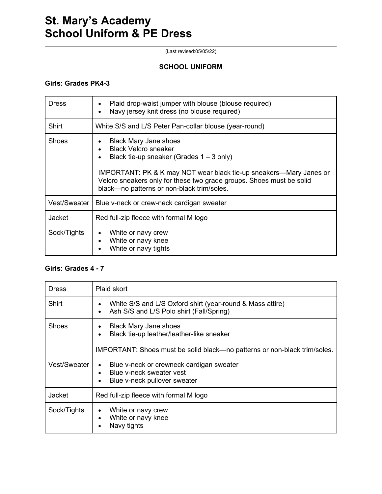# **St. Mary's Academy School Uniform & PE Dress**

(Last revised:05/05/22)

#### **SCHOOL UNIFORM**

### **Girls: Grades PK4-3**

| <b>Dress</b>        | Plaid drop-waist jumper with blouse (blouse required)<br>Navy jersey knit dress (no blouse required)                                                                                                                                                                                                  |
|---------------------|-------------------------------------------------------------------------------------------------------------------------------------------------------------------------------------------------------------------------------------------------------------------------------------------------------|
| <b>Shirt</b>        | White S/S and L/S Peter Pan-collar blouse (year-round)                                                                                                                                                                                                                                                |
| <b>Shoes</b>        | <b>Black Mary Jane shoes</b><br><b>Black Velcro sneaker</b><br>Black tie-up sneaker (Grades $1 - 3$ only)<br>IMPORTANT: PK & K may NOT wear black tie-up sneakers—Mary Janes or<br>Velcro sneakers only for these two grade groups. Shoes must be solid<br>black-no patterns or non-black trim/soles. |
| <b>Vest/Sweater</b> | Blue v-neck or crew-neck cardigan sweater                                                                                                                                                                                                                                                             |
| Jacket              | Red full-zip fleece with formal M logo                                                                                                                                                                                                                                                                |
| Sock/Tights         | White or navy crew<br>White or navy knee<br>White or navy tights                                                                                                                                                                                                                                      |

# **Girls: Grades 4 - 7**

| <b>Dress</b> | Plaid skort                                                                                                       |  |
|--------------|-------------------------------------------------------------------------------------------------------------------|--|
| Shirt        | White S/S and L/S Oxford shirt (year-round & Mass attire)<br>Ash S/S and L/S Polo shirt (Fall/Spring)             |  |
| Shoes        | <b>Black Mary Jane shoes</b><br>Black tie-up leather/leather-like sneaker                                         |  |
|              | IMPORTANT: Shoes must be solid black—no patterns or non-black trim/soles.                                         |  |
| Vest/Sweater | Blue v-neck or crewneck cardigan sweater<br>$\bullet$<br>Blue v-neck sweater vest<br>Blue v-neck pullover sweater |  |
| Jacket       | Red full-zip fleece with formal M logo                                                                            |  |
| Sock/Tights  | White or navy crew<br>White or navy knee<br>Navy tights                                                           |  |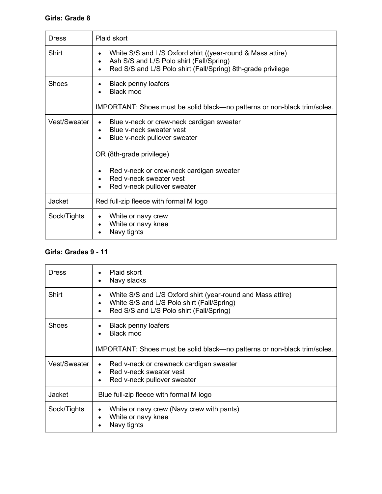| <b>Dress</b> | Plaid skort                                                                                                                                                                                                                             |
|--------------|-----------------------------------------------------------------------------------------------------------------------------------------------------------------------------------------------------------------------------------------|
| <b>Shirt</b> | White S/S and L/S Oxford shirt ((year-round & Mass attire)<br>Ash S/S and L/S Polo shirt (Fall/Spring)<br>Red S/S and L/S Polo shirt (Fall/Spring) 8th-grade privilege                                                                  |
| Shoes        | <b>Black penny loafers</b><br><b>Black moc</b><br>IMPORTANT: Shoes must be solid black—no patterns or non-black trim/soles.                                                                                                             |
| Vest/Sweater | Blue v-neck or crew-neck cardigan sweater<br>Blue v-neck sweater vest<br>Blue v-neck pullover sweater<br>OR (8th-grade privilege)<br>Red v-neck or crew-neck cardigan sweater<br>Red v-neck sweater vest<br>Red v-neck pullover sweater |
| Jacket       | Red full-zip fleece with formal M logo                                                                                                                                                                                                  |
| Sock/Tights  | White or navy crew<br>White or navy knee<br>Navy tights                                                                                                                                                                                 |

# **Girls: Grades 9 - 11**

| <b>Dress</b>        | Plaid skort<br>Navy slacks                                                                                                                                 |
|---------------------|------------------------------------------------------------------------------------------------------------------------------------------------------------|
| Shirt               | White S/S and L/S Oxford shirt (year-round and Mass attire)<br>White S/S and L/S Polo shirt (Fall/Spring)<br>٠<br>Red S/S and L/S Polo shirt (Fall/Spring) |
| <b>Shoes</b>        | <b>Black penny loafers</b><br><b>Black moc</b><br>IMPORTANT: Shoes must be solid black—no patterns or non-black trim/soles.                                |
| <b>Vest/Sweater</b> | Red v-neck or crewneck cardigan sweater<br>$\bullet$<br>Red v-neck sweater vest<br>Red v-neck pullover sweater                                             |
| Jacket              | Blue full-zip fleece with formal M logo                                                                                                                    |
| Sock/Tights         | White or navy crew (Navy crew with pants)<br>White or navy knee<br>Navy tights                                                                             |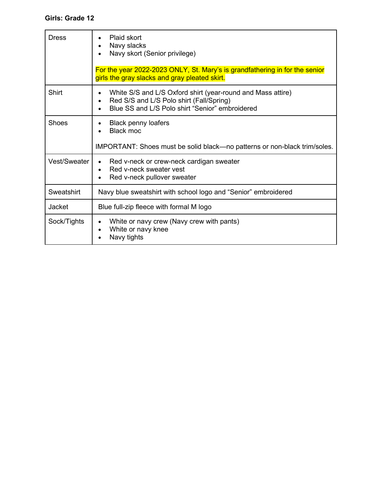# **Girls: Grade 12**

| <b>Dress</b> | Plaid skort<br>Navy slacks<br>Navy skort (Senior privilege)                                                                                                                     |  |
|--------------|---------------------------------------------------------------------------------------------------------------------------------------------------------------------------------|--|
|              | For the year 2022-2023 ONLY, St. Mary's is grandfathering in for the senior<br>girls the gray slacks and gray pleated skirt.                                                    |  |
| <b>Shirt</b> | White S/S and L/S Oxford shirt (year-round and Mass attire)<br>Red S/S and L/S Polo shirt (Fall/Spring)<br>Blue SS and L/S Polo shirt "Senior" embroidered                      |  |
| Shoes        | <b>Black penny loafers</b><br><b>Black moc</b>                                                                                                                                  |  |
| Vest/Sweater | IMPORTANT: Shoes must be solid black—no patterns or non-black trim/soles.<br>Red v-neck or crew-neck cardigan sweater<br>Red v-neck sweater vest<br>Red v-neck pullover sweater |  |
| Sweatshirt   | Navy blue sweatshirt with school logo and "Senior" embroidered                                                                                                                  |  |
| Jacket       | Blue full-zip fleece with formal M logo                                                                                                                                         |  |
| Sock/Tights  | White or navy crew (Navy crew with pants)<br>White or navy knee<br>Navy tights                                                                                                  |  |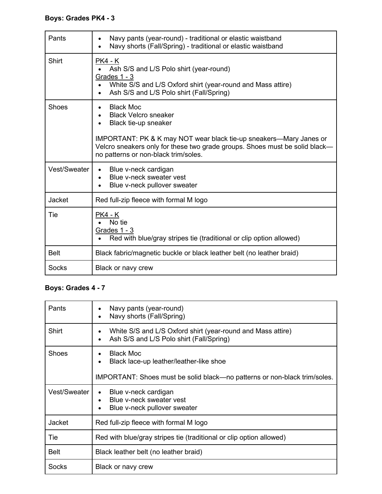| Pants         | Navy pants (year-round) - traditional or elastic waistband<br>$\bullet$<br>Navy shorts (Fall/Spring) - traditional or elastic waistband<br>$\bullet$                                                                                                                 |
|---------------|----------------------------------------------------------------------------------------------------------------------------------------------------------------------------------------------------------------------------------------------------------------------|
| <b>Shirt</b>  | <b>PK4 - K</b><br>Ash S/S and L/S Polo shirt (year-round)<br>Grades 1 - 3<br>White S/S and L/S Oxford shirt (year-round and Mass attire)<br>Ash S/S and L/S Polo shirt (Fall/Spring)                                                                                 |
| Shoes         | <b>Black Moc</b><br><b>Black Velcro sneaker</b><br>Black tie-up sneaker<br>IMPORTANT: PK & K may NOT wear black tie-up sneakers—Mary Janes or<br>Velcro sneakers only for these two grade groups. Shoes must be solid black-<br>no patterns or non-black trim/soles. |
| Vest/Sweater  | Blue v-neck cardigan<br>$\bullet$<br>Blue v-neck sweater vest<br>Blue v-neck pullover sweater                                                                                                                                                                        |
| <b>Jacket</b> | Red full-zip fleece with formal M logo                                                                                                                                                                                                                               |
| Tie           | <b>PK4 - K</b><br>No tie<br>Grades 1 - 3<br>Red with blue/gray stripes tie (traditional or clip option allowed)                                                                                                                                                      |
| <b>Belt</b>   | Black fabric/magnetic buckle or black leather belt (no leather braid)                                                                                                                                                                                                |
| Socks         | Black or navy crew                                                                                                                                                                                                                                                   |

# **Boys: Grades 4 - 7**

| Pants        | Navy pants (year-round)<br>Navy shorts (Fall/Spring)                                                    |
|--------------|---------------------------------------------------------------------------------------------------------|
| <b>Shirt</b> | White S/S and L/S Oxford shirt (year-round and Mass attire)<br>Ash S/S and L/S Polo shirt (Fall/Spring) |
| <b>Shoes</b> | <b>Black Moc</b><br>Black lace-up leather/leather-like shoe                                             |
|              | IMPORTANT: Shoes must be solid black—no patterns or non-black trim/soles.                               |
| Vest/Sweater | Blue v-neck cardigan<br>Blue v-neck sweater vest<br>Blue v-neck pullover sweater                        |
| Jacket       | Red full-zip fleece with formal M logo                                                                  |
| Tie          | Red with blue/gray stripes tie (traditional or clip option allowed)                                     |
| <b>Belt</b>  | Black leather belt (no leather braid)                                                                   |
| Socks        | Black or navy crew                                                                                      |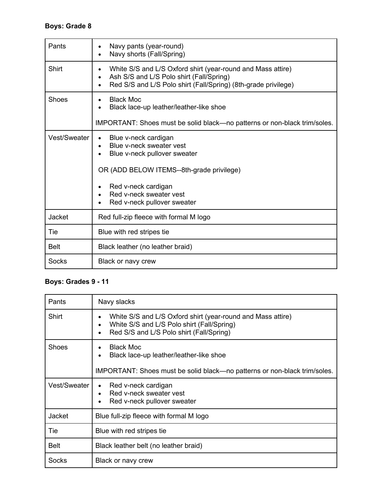# **Boys: Grade 8**

| Pants               | Navy pants (year-round)<br>Navy shorts (Fall/Spring)                                                                                                                                                                        |  |
|---------------------|-----------------------------------------------------------------------------------------------------------------------------------------------------------------------------------------------------------------------------|--|
| Shirt               | White S/S and L/S Oxford shirt (year-round and Mass attire)<br>Ash S/S and L/S Polo shirt (Fall/Spring)<br>$\bullet$<br>Red S/S and L/S Polo shirt (Fall/Spring) (8th-grade privilege)                                      |  |
| Shoes               | <b>Black Moc</b><br>Black lace-up leather/leather-like shoe                                                                                                                                                                 |  |
|                     | IMPORTANT: Shoes must be solid black-no patterns or non-black trim/soles.                                                                                                                                                   |  |
| <b>Vest/Sweater</b> | Blue v-neck cardigan<br>$\bullet$<br>Blue v-neck sweater vest<br>Blue v-neck pullover sweater<br>OR (ADD BELOW ITEMS--8th-grade privilege)<br>Red v-neck cardigan<br>Red v-neck sweater vest<br>Red v-neck pullover sweater |  |
| <b>Jacket</b>       | Red full-zip fleece with formal M logo                                                                                                                                                                                      |  |
| Tie                 | Blue with red stripes tie                                                                                                                                                                                                   |  |
| <b>Belt</b>         | Black leather (no leather braid)                                                                                                                                                                                            |  |
| Socks               | Black or navy crew                                                                                                                                                                                                          |  |

# **Boys: Grades 9 - 11**

| Pants        | Navy slacks                                                                                                                                           |  |
|--------------|-------------------------------------------------------------------------------------------------------------------------------------------------------|--|
| Shirt        | White S/S and L/S Oxford shirt (year-round and Mass attire)<br>White S/S and L/S Polo shirt (Fall/Spring)<br>Red S/S and L/S Polo shirt (Fall/Spring) |  |
| <b>Shoes</b> | <b>Black Moc</b><br>Black lace-up leather/leather-like shoe<br>IMPORTANT: Shoes must be solid black—no patterns or non-black trim/soles.              |  |
| Vest/Sweater | Red v-neck cardigan<br>Red v-neck sweater vest<br>Red v-neck pullover sweater                                                                         |  |
| Jacket       | Blue full-zip fleece with formal M logo                                                                                                               |  |
| Tie          | Blue with red stripes tie.                                                                                                                            |  |
| <b>Belt</b>  | Black leather belt (no leather braid)                                                                                                                 |  |
| Socks        | Black or navy crew                                                                                                                                    |  |